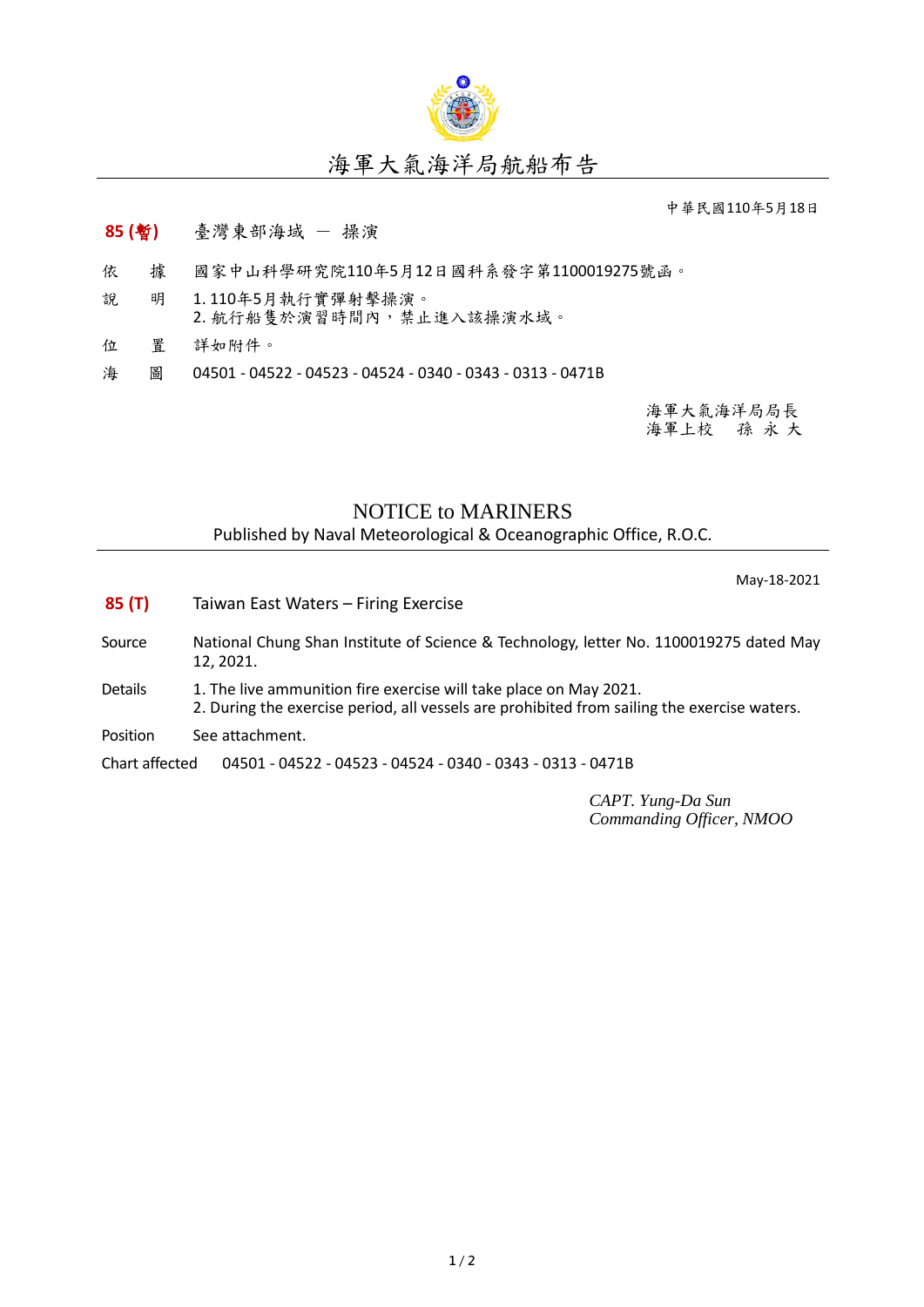

## 海軍大氣海洋局航船布告

中華民國110年5月18日

## **85 (**暫**)** 臺灣東部海域 - 操演

- 依 據 國家中山科學研究院110年5月12日國科系發字第1100019275號函。
- 說 明 1. 110年5月執行實彈射擊操演。 2. 航行船隻於演習時間內,禁止進入該操演水域。
- 位 置 詳如附件。
- 海 圖 04501 04522 04523 04524 0340 0343 0313 0471B

海軍大氣海洋局局長 海軍上校 孫 永 大

## NOTICE to MARINERS

Published by Naval Meteorological & Oceanographic Office, R.O.C.

May-18-2021

- **85 (T)** Taiwan East Waters Firing Exercise
- Source National Chung Shan Institute of Science & Technology, letter No. 1100019275 dated May 12, 2021.
- Details 1. The live ammunition fire exercise will take place on May 2021. 2. During the exercise period, all vessels are prohibited from sailing the exercise waters.
- Position See attachment.

Chart affected 04501 - 04522 - 04523 - 04524 - 0340 - 0343 - 0313 - 0471B

*CAPT. Yung-Da Sun Commanding Officer, NMOO*